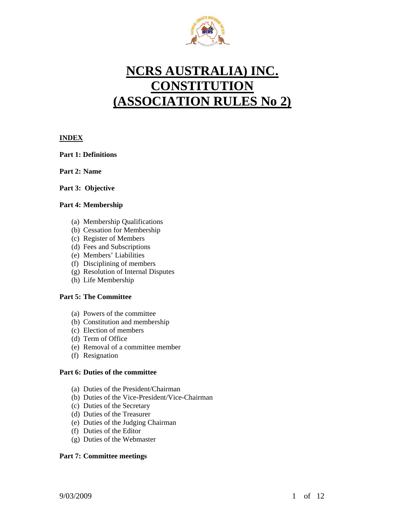

# **NCRS AUSTRALIA) INC. CONSTITUTION (ASSOCIATION RULES No 2)**

# **INDEX**

# **Part 1: Definitions**

**Part 2: Name** 

# **Part 3: Objective**

# **Part 4: Membership**

- (a) Membership Qualifications
- (b) Cessation for Membership
- (c) Register of Members
- (d) Fees and Subscriptions
- (e) Members' Liabilities
- (f) Disciplining of members
- (g) Resolution of Internal Disputes
- (h) Life Membership

# **Part 5: The Committee**

- (a) Powers of the committee
- (b) Constitution and membership
- (c) Election of members
- (d) Term of Office
- (e) Removal of a committee member
- (f) Resignation

# **Part 6: Duties of the committee**

- (a) Duties of the President/Chairman
- (b) Duties of the Vice-President/Vice-Chairman
- (c) Duties of the Secretary
- (d) Duties of the Treasurer
- (e) Duties of the Judging Chairman
- (f) Duties of the Editor
- (g) Duties of the Webmaster

# **Part 7: Committee meetings**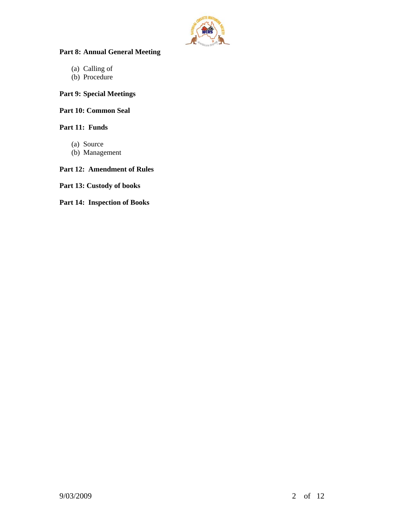

# **Part 8: Annual General Meeting**

- (a) Calling of
- (b) Procedure

# **Part 9: Special Meetings**

# **Part 10: Common Seal**

# **Part 11: Funds**

- (a) Source
- (b) Management

# **Part 12: Amendment of Rules**

**Part 13: Custody of books** 

# **Part 14: Inspection of Books**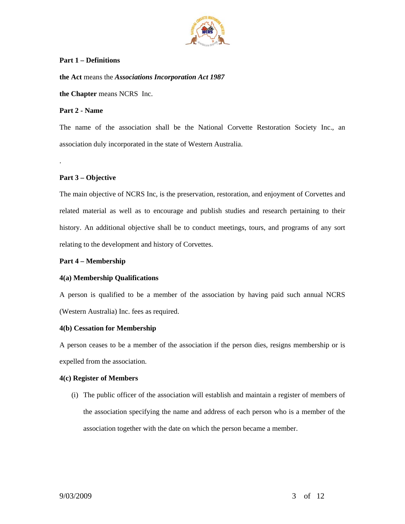

# **Part 1 – Definitions**

**the Act** means the *Associations Incorporation Act 1987*

**the Chapter** means NCRS Inc.

# **Part 2 - Name**

The name of the association shall be the National Corvette Restoration Society Inc., an association duly incorporated in the state of Western Australia.

# **Part 3 – Objective**

.

The main objective of NCRS Inc, is the preservation, restoration, and enjoyment of Corvettes and related material as well as to encourage and publish studies and research pertaining to their history. An additional objective shall be to conduct meetings, tours, and programs of any sort relating to the development and history of Corvettes.

# **Part 4 – Membership**

# **4(a) Membership Qualifications**

A person is qualified to be a member of the association by having paid such annual NCRS (Western Australia) Inc. fees as required.

#### **4(b) Cessation for Membership**

A person ceases to be a member of the association if the person dies, resigns membership or is expelled from the association.

# **4(c) Register of Members**

(i) The public officer of the association will establish and maintain a register of members of the association specifying the name and address of each person who is a member of the association together with the date on which the person became a member.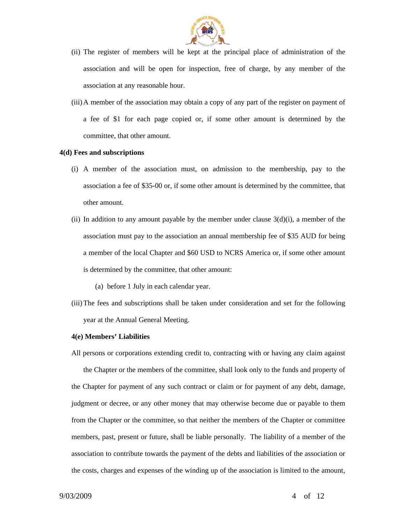

- (ii) The register of members will be kept at the principal place of administration of the association and will be open for inspection, free of charge, by any member of the association at any reasonable hour.
- (iii)A member of the association may obtain a copy of any part of the register on payment of a fee of \$1 for each page copied or, if some other amount is determined by the committee, that other amount.

#### **4(d) Fees and subscriptions**

- (i) A member of the association must, on admission to the membership, pay to the association a fee of \$35-00 or, if some other amount is determined by the committee, that other amount.
- (ii) In addition to any amount payable by the member under clause  $3(d)(i)$ , a member of the association must pay to the association an annual membership fee of \$35 AUD for being a member of the local Chapter and \$60 USD to NCRS America or, if some other amount is determined by the committee, that other amount:

(a) before 1 July in each calendar year.

(iii)The fees and subscriptions shall be taken under consideration and set for the following year at the Annual General Meeting.

#### **4(e) Members' Liabilities**

All persons or corporations extending credit to, contracting with or having any claim against the Chapter or the members of the committee, shall look only to the funds and property of the Chapter for payment of any such contract or claim or for payment of any debt, damage, judgment or decree, or any other money that may otherwise become due or payable to them from the Chapter or the committee, so that neither the members of the Chapter or committee members, past, present or future, shall be liable personally. The liability of a member of the association to contribute towards the payment of the debts and liabilities of the association or the costs, charges and expenses of the winding up of the association is limited to the amount,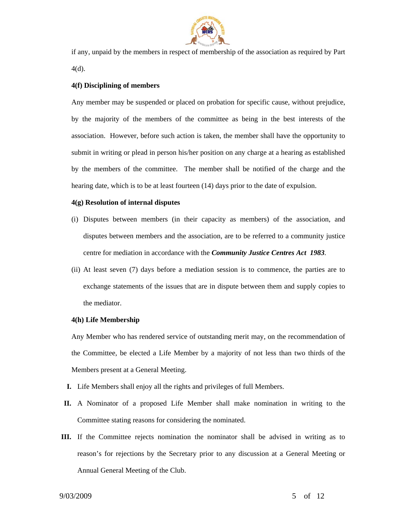

if any, unpaid by the members in respect of membership of the association as required by Part 4(d).

# **4(f) Disciplining of members**

Any member may be suspended or placed on probation for specific cause, without prejudice, by the majority of the members of the committee as being in the best interests of the association. However, before such action is taken, the member shall have the opportunity to submit in writing or plead in person his/her position on any charge at a hearing as established by the members of the committee. The member shall be notified of the charge and the hearing date, which is to be at least fourteen (14) days prior to the date of expulsion.

#### **4(g) Resolution of internal disputes**

- (i) Disputes between members (in their capacity as members) of the association, and disputes between members and the association, are to be referred to a community justice centre for mediation in accordance with the *Community Justice Centres Act 1983.*
- (ii) At least seven (7) days before a mediation session is to commence, the parties are to exchange statements of the issues that are in dispute between them and supply copies to the mediator.

#### **4(h) Life Membership**

Any Member who has rendered service of outstanding merit may, on the recommendation of the Committee, be elected a Life Member by a majority of not less than two thirds of the Members present at a General Meeting.

- **I.** Life Members shall enjoy all the rights and privileges of full Members.
- **II.** A Nominator of a proposed Life Member shall make nomination in writing to the Committee stating reasons for considering the nominated.
- **III.** If the Committee rejects nomination the nominator shall be advised in writing as to reason's for rejections by the Secretary prior to any discussion at a General Meeting or Annual General Meeting of the Club.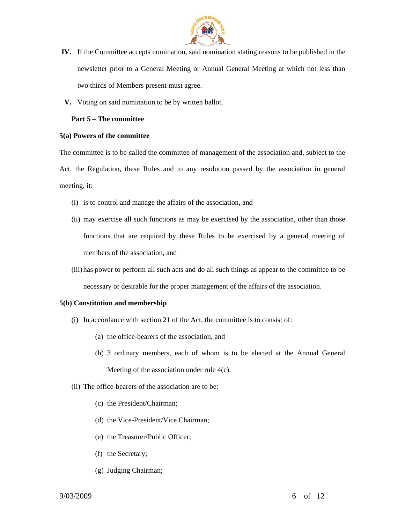

- **IV.** If the Committee accepts nomination, said nomination stating reasons to be published in the newsletter prior to a General Meeting or Annual General Meeting at which not less than two thirds of Members present must agree.
- **V.** Voting on said nomination to be by written ballot.

#### **Part 5 – The committee**

#### **5(a) Powers of the committee**

The committee is to be called the committee of management of the association and, subject to the Act, the Regulation, these Rules and to any resolution passed by the association in general meeting, it:

- (i) is to control and manage the affairs of the association, and
- (ii) may exercise all such functions as may be exercised by the association, other than those functions that are required by these Rules to be exercised by a general meeting of members of the association, and
- (iii) has power to perform all such acts and do all such things as appear to the committee to be necessary or desirable for the proper management of the affairs of the association.

# **5(b) Constitution and membership**

- (i) In accordance with section 21 of the Act, the committee is to consist of:
	- (a) the office-bearers of the association, and
	- (b) 3 ordinary members, each of whom is to be elected at the Annual General Meeting of the association under rule 4(c).
- (ii) The office-bearers of the association are to be:
	- (c) the President/Chairman;
	- (d) the Vice-President/Vice Chairman;
	- (e) the Treasurer/Public Officer;
	- (f) the Secretary;
	- (g) Judging Chairman;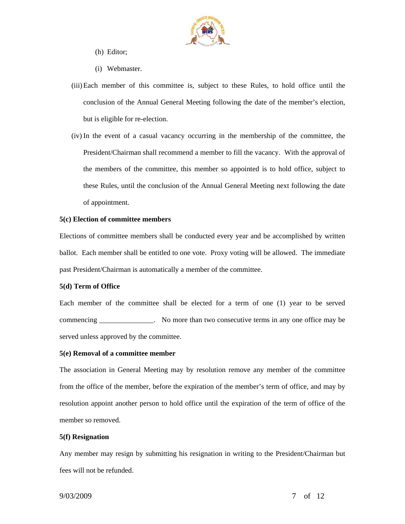

- (h) Editor;
- (i) Webmaster.
- (iii)Each member of this committee is, subject to these Rules, to hold office until the conclusion of the Annual General Meeting following the date of the member's election, but is eligible for re-election.
- (iv) In the event of a casual vacancy occurring in the membership of the committee, the President/Chairman shall recommend a member to fill the vacancy. With the approval of the members of the committee, this member so appointed is to hold office, subject to these Rules, until the conclusion of the Annual General Meeting next following the date of appointment.

#### **5(c) Election of committee members**

Elections of committee members shall be conducted every year and be accomplished by written ballot. Each member shall be entitled to one vote. Proxy voting will be allowed. The immediate past President/Chairman is automatically a member of the committee.

#### **5(d) Term of Office**

Each member of the committee shall be elected for a term of one (1) year to be served commencing \_\_\_\_\_\_\_\_\_\_\_\_\_\_\_. No more than two consecutive terms in any one office may be served unless approved by the committee.

#### **5(e) Removal of a committee member**

The association in General Meeting may by resolution remove any member of the committee from the office of the member, before the expiration of the member's term of office, and may by resolution appoint another person to hold office until the expiration of the term of office of the member so removed.

#### **5(f) Resignation**

Any member may resign by submitting his resignation in writing to the President/Chairman but fees will not be refunded.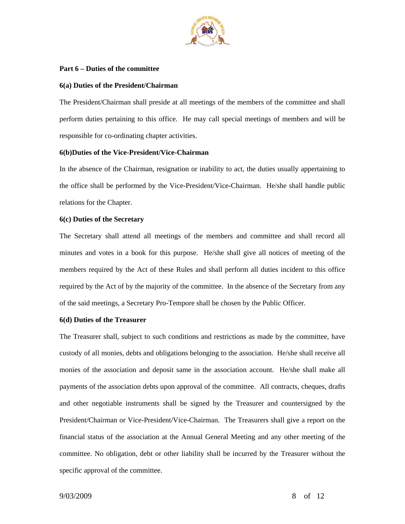

#### **Part 6 – Duties of the committee**

# **6(a) Duties of the President/Chairman**

The President/Chairman shall preside at all meetings of the members of the committee and shall perform duties pertaining to this office. He may call special meetings of members and will be responsible for co-ordinating chapter activities.

# **6(b)Duties of the Vice-President/Vice-Chairman**

In the absence of the Chairman, resignation or inability to act, the duties usually appertaining to the office shall be performed by the Vice-President/Vice-Chairman. He/she shall handle public relations for the Chapter.

# **6(c) Duties of the Secretary**

The Secretary shall attend all meetings of the members and committee and shall record all minutes and votes in a book for this purpose. He/she shall give all notices of meeting of the members required by the Act of these Rules and shall perform all duties incident to this office required by the Act of by the majority of the committee. In the absence of the Secretary from any of the said meetings, a Secretary Pro-Tempore shall be chosen by the Public Officer.

# **6(d) Duties of the Treasurer**

The Treasurer shall, subject to such conditions and restrictions as made by the committee, have custody of all monies, debts and obligations belonging to the association. He/she shall receive all monies of the association and deposit same in the association account. He/she shall make all payments of the association debts upon approval of the committee. All contracts, cheques, drafts and other negotiable instruments shall be signed by the Treasurer and countersigned by the President/Chairman or Vice-President/Vice-Chairman. The Treasurers shall give a report on the financial status of the association at the Annual General Meeting and any other meeting of the committee. No obligation, debt or other liability shall be incurred by the Treasurer without the specific approval of the committee.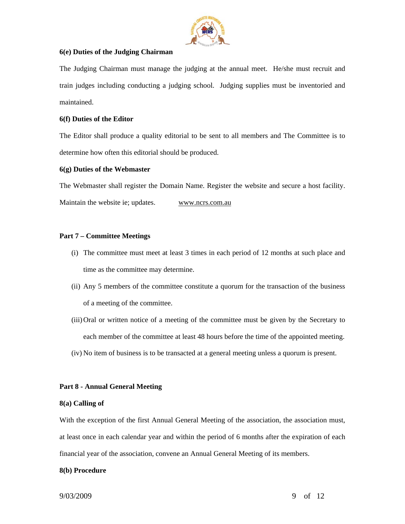

# **6(e) Duties of the Judging Chairman**

The Judging Chairman must manage the judging at the annual meet. He/she must recruit and train judges including conducting a judging school. Judging supplies must be inventoried and maintained.

# **6(f) Duties of the Editor**

The Editor shall produce a quality editorial to be sent to all members and The Committee is to determine how often this editorial should be produced.

# **6(g) Duties of the Webmaster**

The Webmaster shall register the Domain Name. Register the website and secure a host facility.

Maintain the website ie; updates. www.ncrs.com.au

# **Part 7 – Committee Meetings**

- (i) The committee must meet at least 3 times in each period of 12 months at such place and time as the committee may determine.
- (ii) Any 5 members of the committee constitute a quorum for the transaction of the business of a meeting of the committee.
- (iii)Oral or written notice of a meeting of the committee must be given by the Secretary to each member of the committee at least 48 hours before the time of the appointed meeting.
- (iv) No item of business is to be transacted at a general meeting unless a quorum is present.

#### **Part 8 - Annual General Meeting**

#### **8(a) Calling of**

With the exception of the first Annual General Meeting of the association, the association must, at least once in each calendar year and within the period of 6 months after the expiration of each financial year of the association, convene an Annual General Meeting of its members.

#### **8(b) Procedure**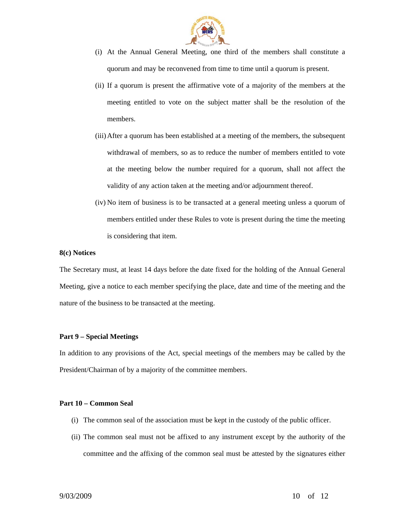

- (i) At the Annual General Meeting, one third of the members shall constitute a quorum and may be reconvened from time to time until a quorum is present.
- (ii) If a quorum is present the affirmative vote of a majority of the members at the meeting entitled to vote on the subject matter shall be the resolution of the members.
- (iii)After a quorum has been established at a meeting of the members, the subsequent withdrawal of members, so as to reduce the number of members entitled to vote at the meeting below the number required for a quorum, shall not affect the validity of any action taken at the meeting and/or adjournment thereof.
- (iv) No item of business is to be transacted at a general meeting unless a quorum of members entitled under these Rules to vote is present during the time the meeting is considering that item.

#### **8(c) Notices**

The Secretary must, at least 14 days before the date fixed for the holding of the Annual General Meeting, give a notice to each member specifying the place, date and time of the meeting and the nature of the business to be transacted at the meeting.

#### **Part 9 – Special Meetings**

In addition to any provisions of the Act, special meetings of the members may be called by the President/Chairman of by a majority of the committee members.

#### **Part 10 – Common Seal**

- (i) The common seal of the association must be kept in the custody of the public officer.
- (ii) The common seal must not be affixed to any instrument except by the authority of the committee and the affixing of the common seal must be attested by the signatures either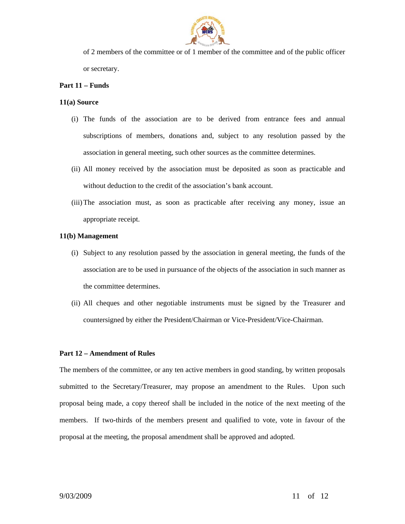

of 2 members of the committee or of 1 member of the committee and of the public officer or secretary.

# **Part 11 – Funds**

# **11(a) Source**

- (i) The funds of the association are to be derived from entrance fees and annual subscriptions of members, donations and, subject to any resolution passed by the association in general meeting, such other sources as the committee determines.
- (ii) All money received by the association must be deposited as soon as practicable and without deduction to the credit of the association's bank account.
- (iii)The association must, as soon as practicable after receiving any money, issue an appropriate receipt.

# **11(b) Management**

- (i) Subject to any resolution passed by the association in general meeting, the funds of the association are to be used in pursuance of the objects of the association in such manner as the committee determines.
- (ii) All cheques and other negotiable instruments must be signed by the Treasurer and countersigned by either the President/Chairman or Vice-President/Vice-Chairman.

#### **Part 12 – Amendment of Rules**

The members of the committee, or any ten active members in good standing, by written proposals submitted to the Secretary/Treasurer, may propose an amendment to the Rules. Upon such proposal being made, a copy thereof shall be included in the notice of the next meeting of the members. If two-thirds of the members present and qualified to vote, vote in favour of the proposal at the meeting, the proposal amendment shall be approved and adopted.